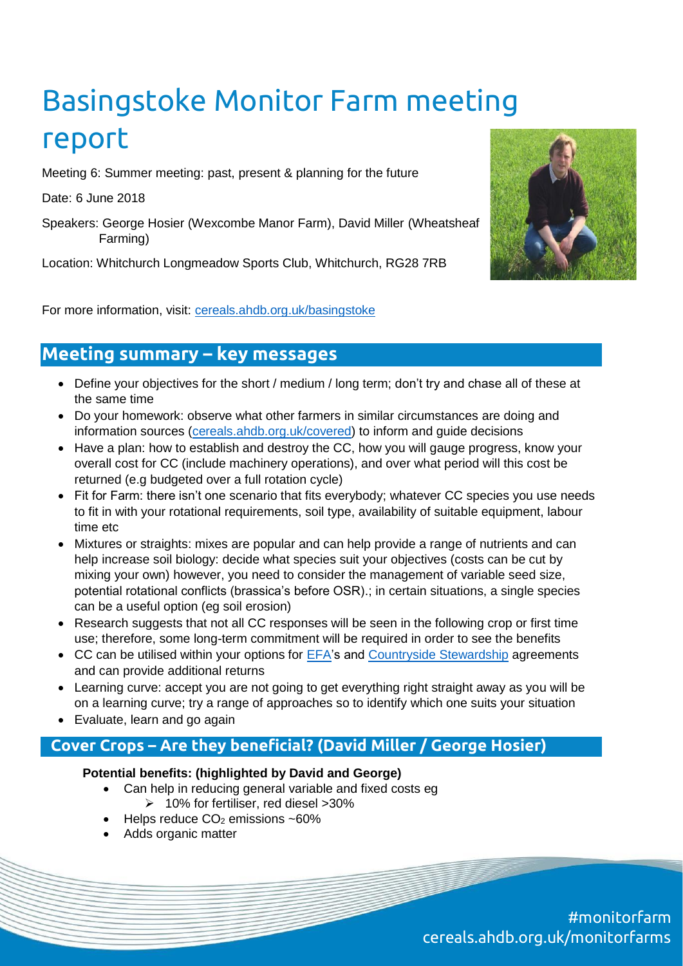# Basingstoke Monitor Farm meeting report

Meeting 6: Summer meeting: past, present & planning for the future

Date: 6 June 2018

Speakers: George Hosier (Wexcombe Manor Farm), David Miller (Wheatsheaf Farming)

Location: Whitchurch Longmeadow Sports Club, Whitchurch, RG28 7RB



For more information, visit: [cereals.ahdb.org.uk/basingstoke](https://cereals.ahdb.org.uk/get-involved/monitorfarms/basingstoke-monitor-farm.aspx)

# **Meeting summary – key messages**

- Define your objectives for the short / medium / long term; don't try and chase all of these at the same time
- Do your homework: observe what other farmers in similar circumstances are doing and information sources [\(cereals.ahdb.org.uk/covered\)](https://cereals.ahdb.org.uk/covered) to inform and guide decisions
- Have a plan: how to establish and destroy the CC, how you will gauge progress, know your overall cost for CC (include machinery operations), and over what period will this cost be returned (e.g budgeted over a full rotation cycle)
- Fit for Farm: there isn't one scenario that fits everybody; whatever CC species you use needs to fit in with your rotational requirements, soil type, availability of suitable equipment, labour time etc
- Mixtures or straights: mixes are popular and can help provide a range of nutrients and can help increase soil biology: decide what species suit your objectives (costs can be cut by mixing your own) however, you need to consider the management of variable seed size, potential rotational conflicts (brassica's before OSR).; in certain situations, a single species can be a useful option (eg soil erosion)
- Research suggests that not all CC responses will be seen in the following crop or first time use; therefore, some long-term commitment will be required in order to see the benefits
- CC can be utilised within your options for [EFA'](https://assets.publishing.service.gov.uk/government/uploads/system/uploads/attachment_data/file/705756/BPS_2018_scheme_rules_v5.0.pdf)s and [Countryside Stewardship](https://www.gov.uk/countryside-stewardship-grants/winter-cover-crops-sw6) agreements and can provide additional returns
- Learning curve: accept you are not going to get everything right straight away as you will be on a learning curve; try a range of approaches so to identify which one suits your situation
- Evaluate, learn and go again

## **Cover Crops – Are they beneficial? (David Miller / George Hosier)**

## **Potential benefits: (highlighted by David and George)**

- Can help in reducing general variable and fixed costs eg  $\geq 10\%$  for fertiliser, red diesel >30%
- $\bullet$  Helps reduce  $CO<sub>2</sub>$  emissions ~60%
- Adds organic matter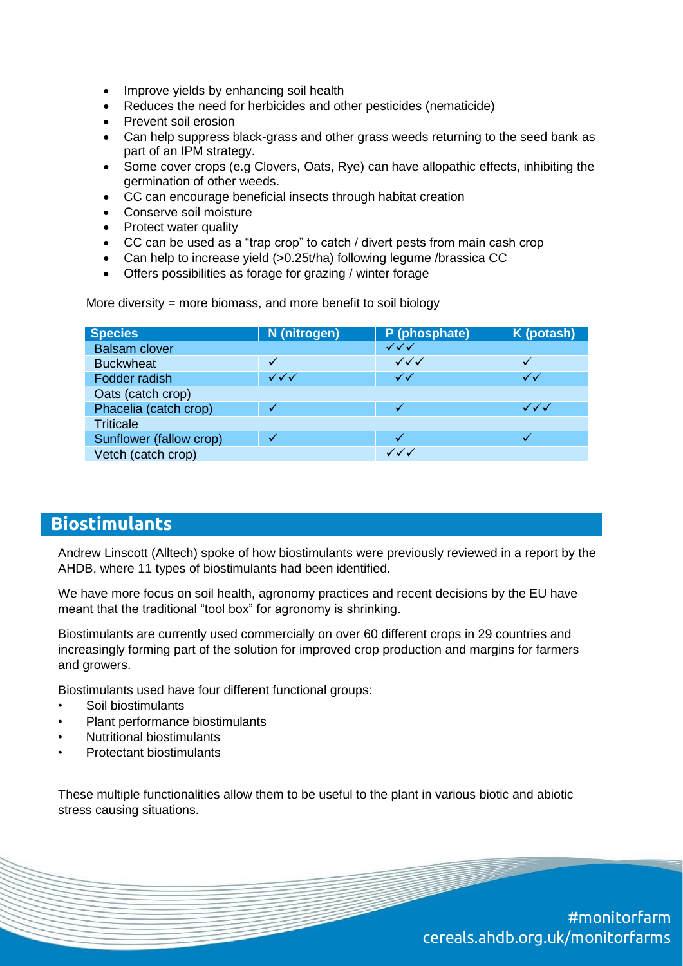- Improve yields by enhancing soil health
- Reduces the need for herbicides and other pesticides (nematicide)
- Prevent soil erosion
- Can help suppress black-grass and other grass weeds returning to the seed bank as part of an IPM strategy.
- Some cover crops (e.g Clovers, Oats, Rye) can have allopathic effects, inhibiting the germination of other weeds.
- CC can encourage beneficial insects through habitat creation
- Conserve soil moisture
- Protect water quality
- CC can be used as a "trap crop" to catch / divert pests from main cash crop
- Can help to increase yield (>0.25t/ha) following legume /brassica CC
- Offers possibilities as forage for grazing / winter forage

More diversity = more biomass, and more benefit to soil biology

| <b>Species</b>          | N (nitrogen) | P (phosphate)          | K (potash)                       |
|-------------------------|--------------|------------------------|----------------------------------|
| <b>Balsam clover</b>    |              | $\checkmark\checkmark$ |                                  |
| <b>Buckwheat</b>        |              | $\checkmark\checkmark$ |                                  |
| Fodder radish           | $\checkmark$ | $\checkmark$           | ✓✓                               |
| Oats (catch crop)       |              |                        |                                  |
| Phacelia (catch crop)   |              |                        | $\checkmark\checkmark\checkmark$ |
| <b>Triticale</b>        |              |                        |                                  |
| Sunflower (fallow crop) |              |                        |                                  |
| Vetch (catch crop)      |              | $\checkmark\checkmark$ |                                  |

# **Biostimulants**

Andrew Linscott (Alltech) spoke of how biostimulants were previously reviewed in a report by the AHDB, where 11 types of biostimulants had been identified.

We have more focus on soil health, agronomy practices and recent decisions by the EU have meant that the traditional "tool box" for agronomy is shrinking.

Biostimulants are currently used commercially on over 60 different crops in 29 countries and increasingly forming part of the solution for improved crop production and margins for farmers and growers.

Biostimulants used have four different functional groups:

- Soil biostimulants
- Plant performance biostimulants
- Nutritional biostimulants
- Protectant biostimulants

These multiple functionalities allow them to be useful to the plant in various biotic and abiotic stress causing situations.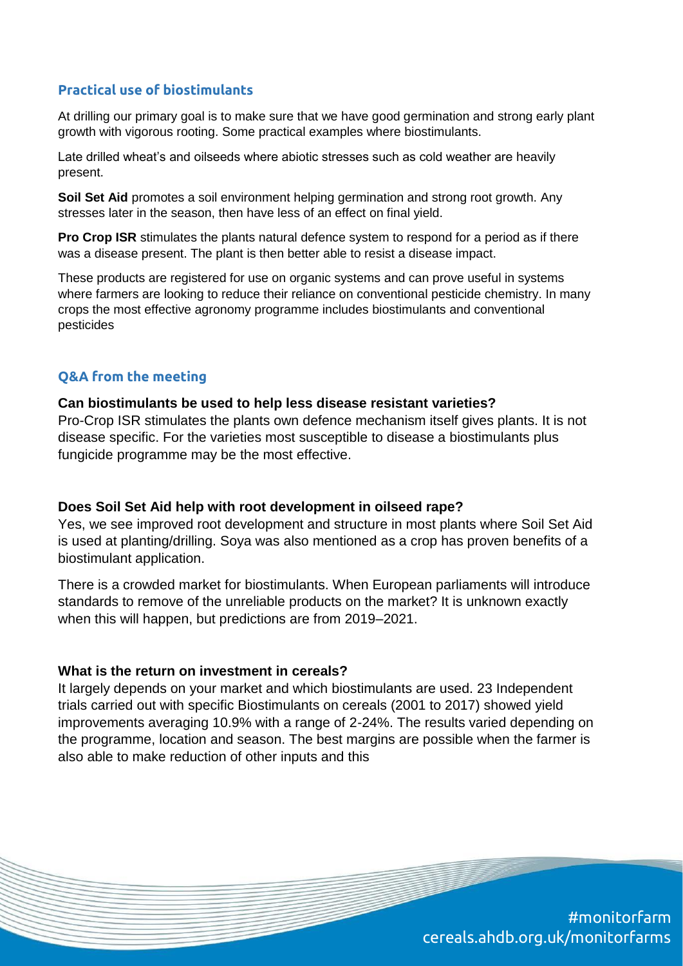## **Practical use of biostimulants**

At drilling our primary goal is to make sure that we have good germination and strong early plant growth with vigorous rooting. Some practical examples where biostimulants.

Late drilled wheat's and oilseeds where abiotic stresses such as cold weather are heavily present.

**Soil Set Aid** promotes a soil environment helping germination and strong root growth. Any stresses later in the season, then have less of an effect on final yield.

**Pro Crop ISR** stimulates the plants natural defence system to respond for a period as if there was a disease present. The plant is then better able to resist a disease impact.

These products are registered for use on organic systems and can prove useful in systems where farmers are looking to reduce their reliance on conventional pesticide chemistry. In many crops the most effective agronomy programme includes biostimulants and conventional pesticides

## **Q&A from the meeting**

#### **Can biostimulants be used to help less disease resistant varieties?**

Pro-Crop ISR stimulates the plants own defence mechanism itself gives plants. It is not disease specific. For the varieties most susceptible to disease a biostimulants plus fungicide programme may be the most effective.

#### **Does Soil Set Aid help with root development in oilseed rape?**

Yes, we see improved root development and structure in most plants where Soil Set Aid is used at planting/drilling. Soya was also mentioned as a crop has proven benefits of a biostimulant application.

There is a crowded market for biostimulants. When European parliaments will introduce standards to remove of the unreliable products on the market? It is unknown exactly when this will happen, but predictions are from 2019–2021.

#### **What is the return on investment in cereals?**

It largely depends on your market and which biostimulants are used. 23 Independent trials carried out with specific Biostimulants on cereals (2001 to 2017) showed yield improvements averaging 10.9% with a range of 2-24%. The results varied depending on the programme, location and season. The best margins are possible when the farmer is also able to make reduction of other inputs and this